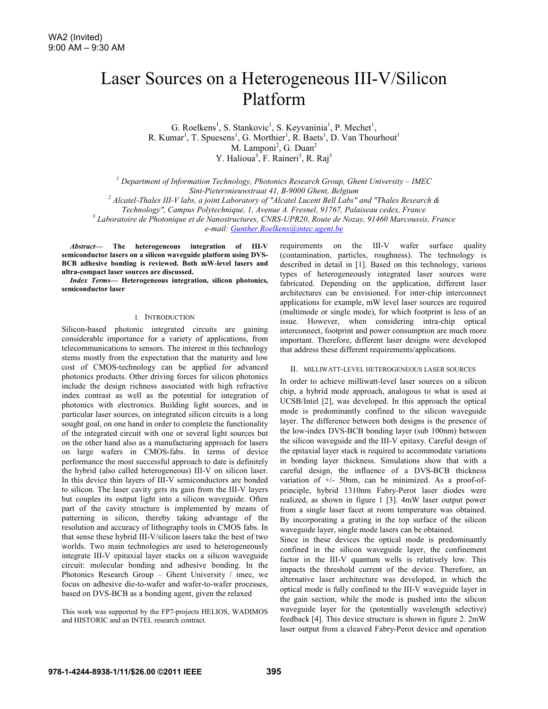# Laser Sources on a Heterogeneous III-V/Silicon Platform

G. Roelkens<sup>1</sup>, S. Stankovic<sup>1</sup>, S. Keyvaninia<sup>1</sup>, P. Mechet<sup>1</sup>, R. Kumar<sup>1</sup>, T. Spuesens<sup>1</sup>, G. Morthier<sup>1</sup>, R. Baets<sup>1</sup>, D. Van Thourhout<sup>1</sup> M. Lamponi<sup>2</sup>, G. Duan<sup>2</sup> Y. Halioua<sup>3</sup>, F. Raineri<sup>3</sup>, R. Raj<sup>3</sup>

*1 Department of Information Technology, Photonics Research Group, Ghent University – IMEC Sint-Pietersnieuwstraat 41, B-9000 Ghent, Belgium 2 Alcatel-Thales III-V labs, a joint Laboratory of "Alcatel Lucent Bell Labs" and "Thales Research &* 

*Technology", Campus Polytechnique, 1, Avenue A. Fresnel, 91767, Palaiseau cedex, France 3*

<sup>3</sup> Laboratoire de Photonique et de Nanostructures, CNRS-UPR20, Route de Nozay, 91460 Marcoussis, France

*e-mail: Gunther.Roelkens@intec.ugent.be*

*Abstract***— The heterogeneous integration of III-V semiconductor lasers on a silicon waveguide platform using DVS-BCB adhesive bonding is reviewed. Both mW-level lasers and ultra-compact laser sources are discussed.** 

*Index Terms***— Heterogeneous integration, silicon photonics, semiconductor laser** 

#### I. INTRODUCTION

Silicon-based photonic integrated circuits are gaining considerable importance for a variety of applications, from telecommunications to sensors. The interest in this technology stems mostly from the expectation that the maturity and low cost of CMOS-technology can be applied for advanced photonics products. Other driving forces for silicon photonics include the design richness associated with high refractive index contrast as well as the potential for integration of photonics with electronics. Building light sources, and in particular laser sources, on integrated silicon circuits is a long sought goal, on one hand in order to complete the functionality of the integrated circuit with one or several light sources but on the other hand also as a manufacturing approach for lasers on large wafers in CMOS-fabs. In terms of device performance the most successful approach to date is definitely the hybrid (also called heterogeneous) III-V on silicon laser. In this device thin layers of III-V semiconductors are bonded to silicon. The laser cavity gets its gain from the III-V layers but couples its output light into a silicon waveguide. Often part of the cavity structure is implemented by means of patterning in silicon, thereby taking advantage of the resolution and accuracy of lithography tools in CMOS fabs. In that sense these hybrid III-V/silicon lasers take the best of two worlds. Two main technologies are used to heterogeneously integrate III-V epitaxial layer stacks on a silicon waveguide circuit: molecular bonding and adhesive bonding. In the Photonics Research Group – Ghent University / imec, we focus on adhesive die-to-wafer and wafer-to-wafer processes, based on DVS-BCB as a bonding agent, given the relaxed

This work was supported by the FP7-projects HELIOS, WADIMOS and HISTORIC and an INTEL research contract.

requirements on the III-V wafer surface quality (contamination, particles, roughness). The technology is described in detail in [1]. Based on this technology, various types of heterogeneously integrated laser sources were fabricated. Depending on the application, different laser architectures can be envisioned. For inter-chip interconnect applications for example, mW level laser sources are required (multimode or single mode), for which footprint is less of an issue. However, when considering intra-chip optical interconnect, footprint and power consumption are much more important. Therefore, different laser designs were developed that address these different requirements/applications.

### II. MILLIWATT-LEVEL HETEROGENEOUS LASER SOURCES

In order to achieve milliwatt-level laser sources on a silicon chip, a hybrid mode approach, analogous to what is used at UCSB/Intel [2], was developed. In this approach the optical mode is predominantly confined to the silicon waveguide layer. The difference between both designs is the presence of the low-index DVS-BCB bonding layer (sub 100nm) between the silicon waveguide and the III-V epitaxy. Careful design of the epitaxial layer stack is required to accommodate variations in bonding layer thickness. Simulations show that with a careful design, the influence of a DVS-BCB thickness variation of  $\pm$ /- 50nm, can be minimized. As a proof-ofprinciple, hybrid 1310nm Fabry-Perot laser diodes were realized, as shown in figure 1 [3]. 4mW laser output power from a single laser facet at room temperature was obtained. By incorporating a grating in the top surface of the silicon waveguide layer, single mode lasers can be obtained.

Since in these devices the optical mode is predominantly confined in the silicon waveguide layer, the confinement factor in the III-V quantum wells is relatively low. This impacts the threshold current of the device. Therefore, an alternative laser architecture was developed, in which the optical mode is fully confined to the III-V waveguide layer in the gain section, while the mode is pushed into the silicon waveguide layer for the (potentially wavelength selective) feedback [4]. This device structure is shown in figure 2. 2mW laser output from a cleaved Fabry-Perot device and operation